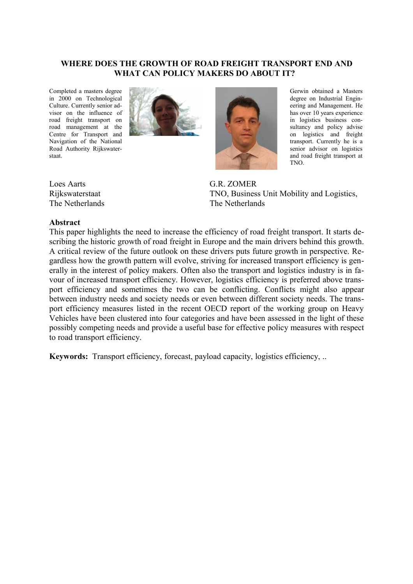#### **WHERE DOES THE GROWTH OF ROAD FREIGHT TRANSPORT END AND WHAT CAN POLICY MAKERS DO ABOUT IT?**

Completed a masters degree in 2000 on Technological Culture. Currently senior advisor on the influence of road freight transport on road management at the Centre for Transport and Navigation of the National Road Authority Rijkswaterstaat.



Gerwin obtained a Masters degree on Industrial Engineering and Management. He has over 10 years experience in logistics business consultancy and policy advise on logistics and freight transport. Currently he is a senior advisor on logistics and road freight transport at TNO.

G.R. ZOMER TNO, Business Unit Mobility and Logistics, The Netherlands

Loes Aarts Rijkswaterstaat The Netherlands

#### **Abstract**

This paper highlights the need to increase the efficiency of road freight transport. It starts describing the historic growth of road freight in Europe and the main drivers behind this growth. A critical review of the future outlook on these drivers puts future growth in perspective. Regardless how the growth pattern will evolve, striving for increased transport efficiency is generally in the interest of policy makers. Often also the transport and logistics industry is in favour of increased transport efficiency. However, logistics efficiency is preferred above transport efficiency and sometimes the two can be conflicting. Conflicts might also appear between industry needs and society needs or even between different society needs. The transport efficiency measures listed in the recent OECD report of the working group on Heavy Vehicles have been clustered into four categories and have been assessed in the light of these possibly competing needs and provide a useful base for effective policy measures with respect to road transport efficiency.

**Keywords:** Transport efficiency, forecast, payload capacity, logistics efficiency, ..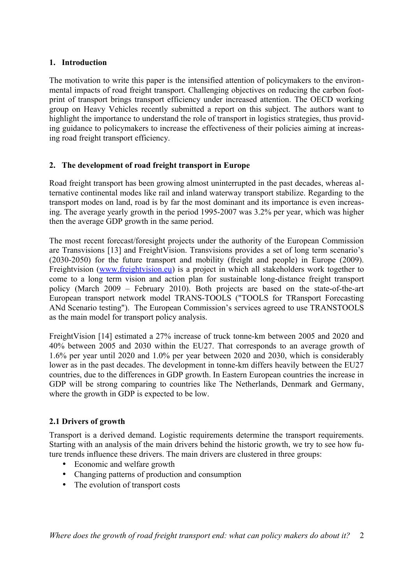## **1. Introduction**

The motivation to write this paper is the intensified attention of policymakers to the environmental impacts of road freight transport. Challenging objectives on reducing the carbon footprint of transport brings transport efficiency under increased attention. The OECD working group on Heavy Vehicles recently submitted a report on this subject. The authors want to highlight the importance to understand the role of transport in logistics strategies, thus providing guidance to policymakers to increase the effectiveness of their policies aiming at increasing road freight transport efficiency.

# **2. The development of road freight transport in Europe**

Road freight transport has been growing almost uninterrupted in the past decades, whereas alternative continental modes like rail and inland waterway transport stabilize. Regarding to the transport modes on land, road is by far the most dominant and its importance is even increasing. The average yearly growth in the period 1995-2007 was 3.2% per year, which was higher then the average GDP growth in the same period.

The most recent forecast/foresight projects under the authority of the European Commission are Transvisions [13] and FreightVision. Transvisions provides a set of long term scenario's (2030-2050) for the future transport and mobility (freight and people) in Europe (2009). Freightvision [\(www.freightvision.eu\)](http://www.freightvision.eu/) is a project in which all stakeholders work together to come to a long term vision and action plan for sustainable long-distance freight transport policy (March 2009 – February 2010). Both projects are based on the state-of-the-art European transport network model TRANS-TOOLS ("TOOLS for TRansport Forecasting ANd Scenario testing"). The European Commission's services agreed to use TRANSTOOLS as the main model for transport policy analysis.

FreightVision [14] estimated a 27% increase of truck tonne-km between 2005 and 2020 and 40% between 2005 and 2030 within the EU27. That corresponds to an average growth of 1.6% per year until 2020 and 1.0% per year between 2020 and 2030, which is considerably lower as in the past decades. The development in tonne-km differs heavily between the EU27 countries, due to the differences in GDP growth. In Eastern European countries the increase in GDP will be strong comparing to countries like The Netherlands, Denmark and Germany, where the growth in GDP is expected to be low.

# **2.1 Drivers of growth**

Transport is a derived demand. Logistic requirements determine the transport requirements. Starting with an analysis of the main drivers behind the historic growth, we try to see how future trends influence these drivers. The main drivers are clustered in three groups:

- Economic and welfare growth
- Changing patterns of production and consumption
- The evolution of transport costs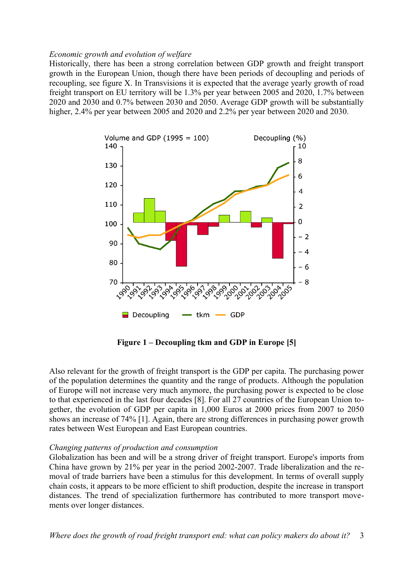#### *Economic growth and evolution of welfare*

Historically, there has been a strong correlation between GDP growth and freight transport growth in the European Union, though there have been periods of decoupling and periods of recoupling, see figure X. In Transvisions it is expected that the average yearly growth of road freight transport on EU territory will be 1.3% per year between 2005 and 2020, 1.7% between 2020 and 2030 and 0.7% between 2030 and 2050. Average GDP growth will be substantially higher, 2.4% per year between 2005 and 2020 and 2.2% per year between 2020 and 2030.



**Figure 1 – Decoupling tkm and GDP in Europe [5]**

Also relevant for the growth of freight transport is the GDP per capita. The purchasing power of the population determines the quantity and the range of products. Although the population of Europe will not increase very much anymore, the purchasing power is expected to be close to that experienced in the last four decades [8]. For all 27 countries of the European Union together, the evolution of GDP per capita in 1,000 Euros at 2000 prices from 2007 to 2050 shows an increase of 74% [1]. Again, there are strong differences in purchasing power growth rates between West European and East European countries.

#### *Changing patterns of production and consumption*

Globalization has been and will be a strong driver of freight transport. Europe's imports from China have grown by 21% per year in the period 2002-2007. Trade liberalization and the removal of trade barriers have been a stimulus for this development. In terms of overall supply chain costs, it appears to be more efficient to shift production, despite the increase in transport distances. The trend of specialization furthermore has contributed to more transport movements over longer distances.

*Where does the growth of road freight transport end: what can policy makers do about it?* 3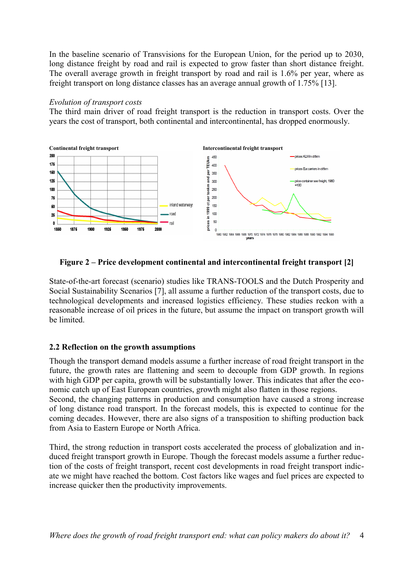In the baseline scenario of Transvisions for the European Union, for the period up to 2030, long distance freight by road and rail is expected to grow faster than short distance freight. The overall average growth in freight transport by road and rail is 1.6% per year, where as freight transport on long distance classes has an average annual growth of 1.75% [13].

### *Evolution of transport costs*

The third main driver of road freight transport is the reduction in transport costs. Over the years the cost of transport, both continental and intercontinental, has dropped enormously.



**Figure 2 – Price development continental and intercontinental freight transport [2]**

State-of-the-art forecast (scenario) studies like TRANS-TOOLS and the Dutch Prosperity and Social Sustainability Scenarios [7], all assume a further reduction of the transport costs, due to technological developments and increased logistics efficiency. These studies reckon with a reasonable increase of oil prices in the future, but assume the impact on transport growth will be limited.

# **2.2 Reflection on the growth assumptions**

Though the transport demand models assume a further increase of road freight transport in the future, the growth rates are flattening and seem to decouple from GDP growth. In regions with high GDP per capita, growth will be substantially lower. This indicates that after the economic catch up of East European countries, growth might also flatten in those regions. Second, the changing patterns in production and consumption have caused a strong increase

of long distance road transport. In the forecast models, this is expected to continue for the coming decades. However, there are also signs of a transposition to shifting production back from Asia to Eastern Europe or North Africa.

Third, the strong reduction in transport costs accelerated the process of globalization and induced freight transport growth in Europe. Though the forecast models assume a further reduction of the costs of freight transport, recent cost developments in road freight transport indicate we might have reached the bottom. Cost factors like wages and fuel prices are expected to increase quicker then the productivity improvements.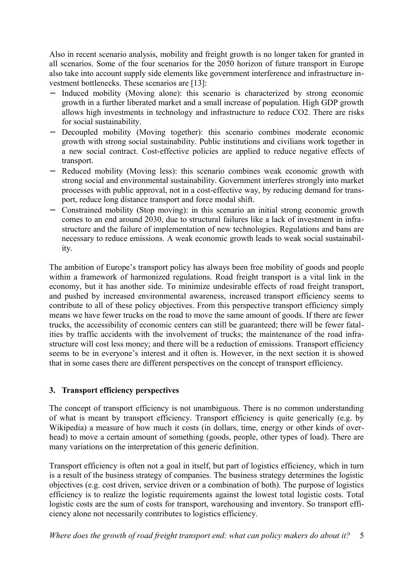Also in recent scenario analysis, mobility and freight growth is no longer taken for granted in all scenarios. Some of the four scenarios for the 2050 horizon of future transport in Europe also take into account supply side elements like government interference and infrastructure investment bottlenecks. These scenarios are [13]:

- Induced mobility (Moving alone): this scenario is characterized by strong economic growth in a further liberated market and a small increase of population. High GDP growth allows high investments in technology and infrastructure to reduce CO2. There are risks for social sustainability.
- Decoupled mobility (Moving together): this scenario combines moderate economic growth with strong social sustainability. Public institutions and civilians work together in a new social contract. Cost-effective policies are applied to reduce negative effects of transport.
- Reduced mobility (Moving less): this scenario combines weak economic growth with strong social and environmental sustainability. Government interferes strongly into market processes with public approval, not in a cost-effective way, by reducing demand for transport, reduce long distance transport and force modal shift.
- − Constrained mobility (Stop moving): in this scenario an initial strong economic growth comes to an end around 2030, due to structural failures like a lack of investment in infrastructure and the failure of implementation of new technologies. Regulations and bans are necessary to reduce emissions. A weak economic growth leads to weak social sustainability.

The ambition of Europe's transport policy has always been free mobility of goods and people within a framework of harmonized regulations. Road freight transport is a vital link in the economy, but it has another side. To minimize undesirable effects of road freight transport, and pushed by increased environmental awareness, increased transport efficiency seems to contribute to all of these policy objectives. From this perspective transport efficiency simply means we have fewer trucks on the road to move the same amount of goods. If there are fewer trucks, the accessibility of economic centers can still be guaranteed; there will be fewer fatalities by traffic accidents with the involvement of trucks; the maintenance of the road infrastructure will cost less money; and there will be a reduction of emissions. Transport efficiency seems to be in everyone's interest and it often is. However, in the next section it is showed that in some cases there are different perspectives on the concept of transport efficiency.

## **3. Transport efficiency perspectives**

The concept of transport efficiency is not unambiguous. There is no common understanding of what is meant by transport efficiency. Transport efficiency is quite generically (e.g. by Wikipedia) a measure of how much it costs (in dollars, time, energy or other kinds of overhead) to move a certain amount of something (goods, people, other types of load). There are many variations on the interpretation of this generic definition.

Transport efficiency is often not a goal in itself, but part of logistics efficiency, which in turn is a result of the business strategy of companies. The business strategy determines the logistic objectives (e.g. cost driven, service driven or a combination of both). The purpose of logistics efficiency is to realize the logistic requirements against the lowest total logistic costs. Total logistic costs are the sum of costs for transport, warehousing and inventory. So transport efficiency alone not necessarily contributes to logistics efficiency.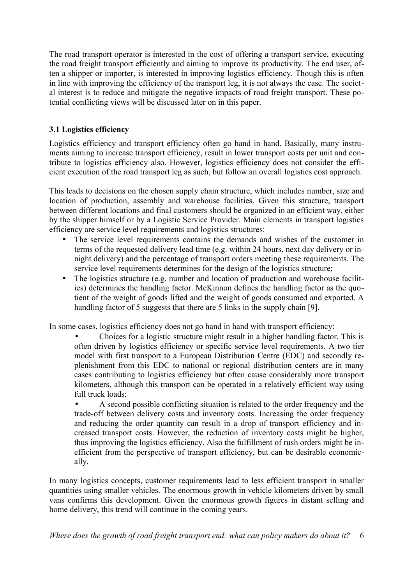The road transport operator is interested in the cost of offering a transport service, executing the road freight transport efficiently and aiming to improve its productivity. The end user, often a shipper or importer, is interested in improving logistics efficiency. Though this is often in line with improving the efficiency of the transport leg, it is not always the case. The societal interest is to reduce and mitigate the negative impacts of road freight transport. These potential conflicting views will be discussed later on in this paper.

# **3.1 Logistics efficiency**

Logistics efficiency and transport efficiency often go hand in hand. Basically, many instruments aiming to increase transport efficiency, result in lower transport costs per unit and contribute to logistics efficiency also. However, logistics efficiency does not consider the efficient execution of the road transport leg as such, but follow an overall logistics cost approach.

This leads to decisions on the chosen supply chain structure, which includes number, size and location of production, assembly and warehouse facilities. Given this structure, transport between different locations and final customers should be organized in an efficient way, either by the shipper himself or by a Logistic Service Provider. Main elements in transport logistics efficiency are service level requirements and logistics structures:

- The service level requirements contains the demands and wishes of the customer in terms of the requested delivery lead time (e.g. within 24 hours, next day delivery or innight delivery) and the percentage of transport orders meeting these requirements. The service level requirements determines for the design of the logistics structure;
- The logistics structure (e.g. number and location of production and warehouse facilities) determines the handling factor. McKinnon defines the handling factor as the quotient of the weight of goods lifted and the weight of goods consumed and exported. A handling factor of 5 suggests that there are 5 links in the supply chain [9].

In some cases, logistics efficiency does not go hand in hand with transport efficiency:

• Choices for a logistic structure might result in a higher handling factor. This is often driven by logistics efficiency or specific service level requirements. A two tier model with first transport to a European Distribution Centre (EDC) and secondly replenishment from this EDC to national or regional distribution centers are in many cases contributing to logistics efficiency but often cause considerably more transport kilometers, although this transport can be operated in a relatively efficient way using full truck loads;

• A second possible conflicting situation is related to the order frequency and the trade-off between delivery costs and inventory costs. Increasing the order frequency and reducing the order quantity can result in a drop of transport efficiency and increased transport costs. However, the reduction of inventory costs might be higher, thus improving the logistics efficiency. Also the fulfillment of rush orders might be inefficient from the perspective of transport efficiency, but can be desirable economically.

In many logistics concepts, customer requirements lead to less efficient transport in smaller quantities using smaller vehicles. The enormous growth in vehicle kilometers driven by small vans confirms this development. Given the enormous growth figures in distant selling and home delivery, this trend will continue in the coming years.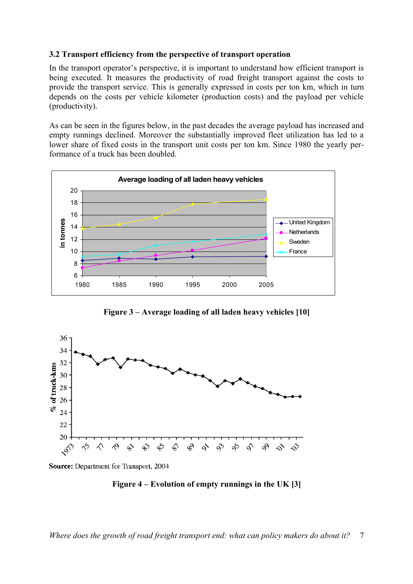### **3.2 Transport efficiency from the perspective of transport operation**

In the transport operator's perspective, it is important to understand how efficient transport is being executed. It measures the productivity of road freight transport against the costs to provide the transport service. This is generally expressed in costs per ton km, which in turn depends on the costs per vehicle kilometer (production costs) and the payload per vehicle (productivity).

As can be seen in the figures below, in the past decades the average payload has increased and empty runnings declined. Moreover the substantially improved fleet utilization has led to a lower share of fixed costs in the transport unit costs per ton km. Since 1980 the yearly performance of a truck has been doubled.



**Figure 3 – Average loading of all laden heavy vehicles [10]**



Source: Department for Transport, 2004

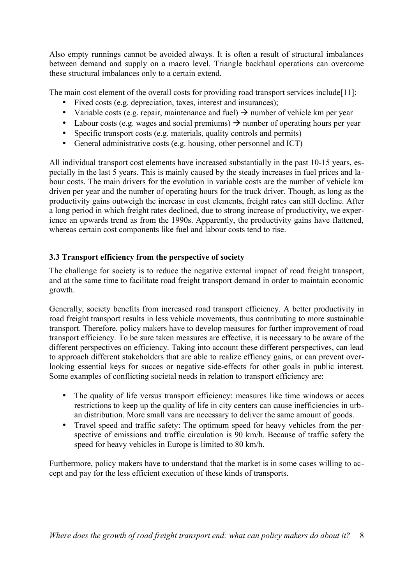Also empty runnings cannot be avoided always. It is often a result of structural imbalances between demand and supply on a macro level. Triangle backhaul operations can overcome these structural imbalances only to a certain extend.

The main cost element of the overall costs for providing road transport services include[11]:

- Fixed costs (e.g. depreciation, taxes, interest and insurances);
- Variable costs (e.g. repair, maintenance and fuel)  $\rightarrow$  number of vehicle km per year
- Labour costs (e.g. wages and social premiums)  $\rightarrow$  number of operating hours per year
- Specific transport costs (e.g. materials, quality controls and permits)
- General administrative costs (e.g. housing, other personnel and ICT)

All individual transport cost elements have increased substantially in the past 10-15 years, especially in the last 5 years. This is mainly caused by the steady increases in fuel prices and labour costs. The main drivers for the evolution in variable costs are the number of vehicle km driven per year and the number of operating hours for the truck driver. Though, as long as the productivity gains outweigh the increase in cost elements, freight rates can still decline. After a long period in which freight rates declined, due to strong increase of productivity, we experience an upwards trend as from the 1990s. Apparently, the productivity gains have flattened, whereas certain cost components like fuel and labour costs tend to rise.

# **3.3 Transport efficiency from the perspective of society**

The challenge for society is to reduce the negative external impact of road freight transport, and at the same time to facilitate road freight transport demand in order to maintain economic growth.

Generally, society benefits from increased road transport efficiency. A better productivity in road freight transport results in less vehicle movements, thus contributing to more sustainable transport. Therefore, policy makers have to develop measures for further improvement of road transport efficiency. To be sure taken measures are effective, it is necessary to be aware of the different perspectives on efficiency. Taking into account these different perspectives, can lead to approach different stakeholders that are able to realize effiency gains, or can prevent overlooking essential keys for succes or negative side-effects for other goals in public interest. Some examples of conflicting societal needs in relation to transport efficiency are:

- The quality of life versus transport efficiency: measures like time windows or acces restrictions to keep up the quality of life in city centers can cause inefficiencies in urban distribution. More small vans are necessary to deliver the same amount of goods.
- Travel speed and traffic safety: The optimum speed for heavy vehicles from the perspective of emissions and traffic circulation is 90 km/h. Because of traffic safety the speed for heavy vehicles in Europe is limited to 80 km/h.

Furthermore, policy makers have to understand that the market is in some cases willing to accept and pay for the less efficient execution of these kinds of transports.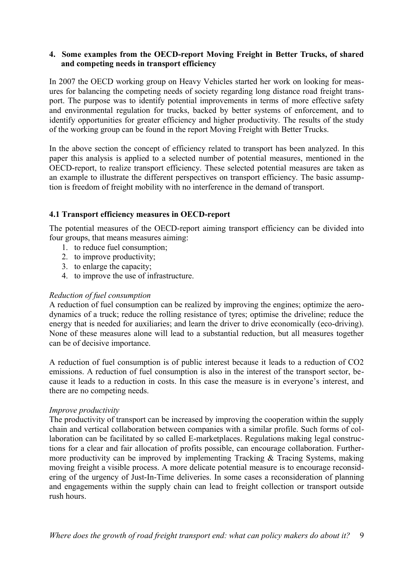## **4. Some examples from the OECD-report Moving Freight in Better Trucks, of shared and competing needs in transport efficiency**

In 2007 the OECD working group on Heavy Vehicles started her work on looking for measures for balancing the competing needs of society regarding long distance road freight transport. The purpose was to identify potential improvements in terms of more effective safety and environmental regulation for trucks, backed by better systems of enforcement, and to identify opportunities for greater efficiency and higher productivity. The results of the study of the working group can be found in the report Moving Freight with Better Trucks.

In the above section the concept of efficiency related to transport has been analyzed. In this paper this analysis is applied to a selected number of potential measures, mentioned in the OECD-report, to realize transport efficiency. These selected potential measures are taken as an example to illustrate the different perspectives on transport efficiency. The basic assumption is freedom of freight mobility with no interference in the demand of transport.

# **4.1 Transport efficiency measures in OECD-report**

The potential measures of the OECD-report aiming transport efficiency can be divided into four groups, that means measures aiming:

- 1. to reduce fuel consumption;
- 2. to improve productivity;
- 3. to enlarge the capacity;
- 4. to improve the use of infrastructure.

## *Reduction of fuel consumption*

A reduction of fuel consumption can be realized by improving the engines; optimize the aerodynamics of a truck; reduce the rolling resistance of tyres; optimise the driveline; reduce the energy that is needed for auxiliaries; and learn the driver to drive economically (eco-driving). None of these measures alone will lead to a substantial reduction, but all measures together can be of decisive importance.

A reduction of fuel consumption is of public interest because it leads to a reduction of CO2 emissions. A reduction of fuel consumption is also in the interest of the transport sector, because it leads to a reduction in costs. In this case the measure is in everyone's interest, and there are no competing needs.

## *Improve productivity*

The productivity of transport can be increased by improving the cooperation within the supply chain and vertical collaboration between companies with a similar profile. Such forms of collaboration can be facilitated by so called E-marketplaces. Regulations making legal constructions for a clear and fair allocation of profits possible, can encourage collaboration. Furthermore productivity can be improved by implementing Tracking & Tracing Systems, making moving freight a visible process. A more delicate potential measure is to encourage reconsidering of the urgency of Just-In-Time deliveries. In some cases a reconsideration of planning and engagements within the supply chain can lead to freight collection or transport outside rush hours.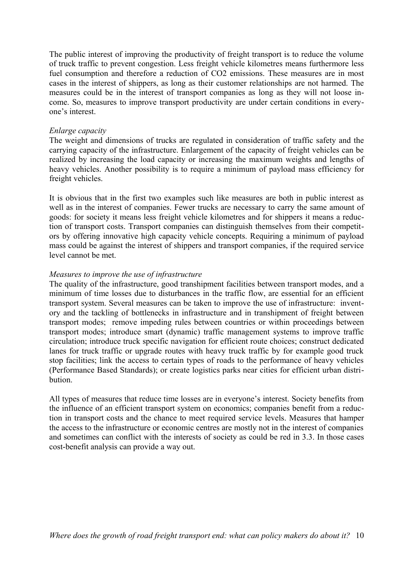The public interest of improving the productivity of freight transport is to reduce the volume of truck traffic to prevent congestion. Less freight vehicle kilometres means furthermore less fuel consumption and therefore a reduction of CO2 emissions. These measures are in most cases in the interest of shippers, as long as their customer relationships are not harmed. The measures could be in the interest of transport companies as long as they will not loose income. So, measures to improve transport productivity are under certain conditions in everyone's interest.

### *Enlarge capacity*

The weight and dimensions of trucks are regulated in consideration of traffic safety and the carrying capacity of the infrastructure. Enlargement of the capacity of freight vehicles can be realized by increasing the load capacity or increasing the maximum weights and lengths of heavy vehicles. Another possibility is to require a minimum of payload mass efficiency for freight vehicles.

It is obvious that in the first two examples such like measures are both in public interest as well as in the interest of companies. Fewer trucks are necessary to carry the same amount of goods: for society it means less freight vehicle kilometres and for shippers it means a reduction of transport costs. Transport companies can distinguish themselves from their competitors by offering innovative high capacity vehicle concepts. Requiring a minimum of payload mass could be against the interest of shippers and transport companies, if the required service level cannot be met.

### *Measures to improve the use of infrastructure*

The quality of the infrastructure, good transhipment facilities between transport modes, and a minimum of time losses due to disturbances in the traffic flow, are essential for an efficient transport system. Several measures can be taken to improve the use of infrastructure: inventory and the tackling of bottlenecks in infrastructure and in transhipment of freight between transport modes; remove impeding rules between countries or within proceedings between transport modes; introduce smart (dynamic) traffic management systems to improve traffic circulation; introduce truck specific navigation for efficient route choices; construct dedicated lanes for truck traffic or upgrade routes with heavy truck traffic by for example good truck stop facilities; link the access to certain types of roads to the performance of heavy vehicles (Performance Based Standards); or create logistics parks near cities for efficient urban distribution.

All types of measures that reduce time losses are in everyone's interest. Society benefits from the influence of an efficient transport system on economics; companies benefit from a reduction in transport costs and the chance to meet required service levels. Measures that hamper the access to the infrastructure or economic centres are mostly not in the interest of companies and sometimes can conflict with the interests of society as could be red in 3.3. In those cases cost-benefit analysis can provide a way out.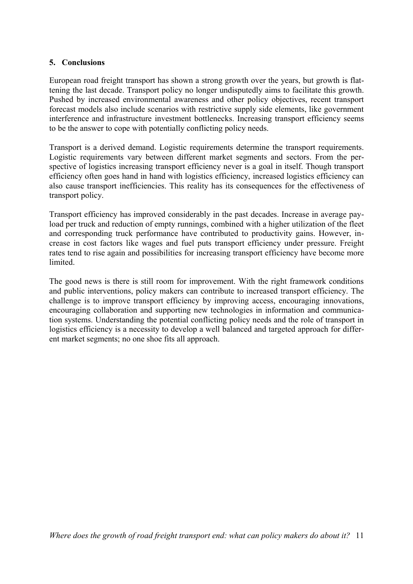### **5. Conclusions**

European road freight transport has shown a strong growth over the years, but growth is flattening the last decade. Transport policy no longer undisputedly aims to facilitate this growth. Pushed by increased environmental awareness and other policy objectives, recent transport forecast models also include scenarios with restrictive supply side elements, like government interference and infrastructure investment bottlenecks. Increasing transport efficiency seems to be the answer to cope with potentially conflicting policy needs.

Transport is a derived demand. Logistic requirements determine the transport requirements. Logistic requirements vary between different market segments and sectors. From the perspective of logistics increasing transport efficiency never is a goal in itself. Though transport efficiency often goes hand in hand with logistics efficiency, increased logistics efficiency can also cause transport inefficiencies. This reality has its consequences for the effectiveness of transport policy.

Transport efficiency has improved considerably in the past decades. Increase in average payload per truck and reduction of empty runnings, combined with a higher utilization of the fleet and corresponding truck performance have contributed to productivity gains. However, increase in cost factors like wages and fuel puts transport efficiency under pressure. Freight rates tend to rise again and possibilities for increasing transport efficiency have become more limited.

The good news is there is still room for improvement. With the right framework conditions and public interventions, policy makers can contribute to increased transport efficiency. The challenge is to improve transport efficiency by improving access, encouraging innovations, encouraging collaboration and supporting new technologies in information and communication systems. Understanding the potential conflicting policy needs and the role of transport in logistics efficiency is a necessity to develop a well balanced and targeted approach for different market segments; no one shoe fits all approach.